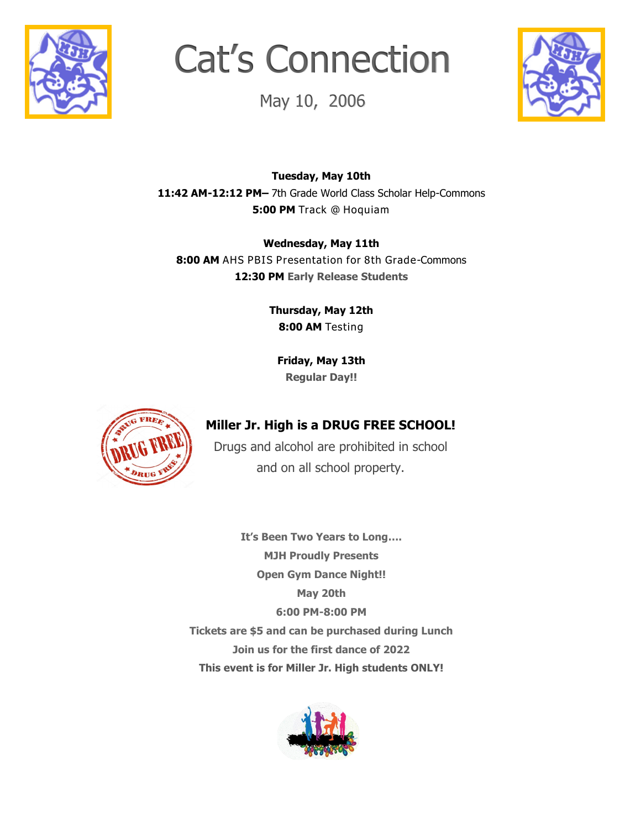

# Cat's Connection

May 10, 2006



**Tuesday, May 10th 11:42 AM-12:12 PM–** 7th Grade World Class Scholar Help-Commons **5:00 PM** Track @ Hoquiam

**Wednesday, May 11th 8:00 AM** AHS PBIS Presentation for 8th Grade-Commons **12:30 PM Early Release Students**

> **Thursday, May 12th 8:00 AM** Testing

**Friday, May 13th Regular Day!!**



## **Miller Jr. High is a DRUG FREE SCHOOL!**

Drugs and alcohol are prohibited in school and on all school property.

**It's Been Two Years to Long…. MJH Proudly Presents Open Gym Dance Night!! May 20th 6:00 PM-8:00 PM Tickets are \$5 and can be purchased during Lunch Join us for the first dance of 2022 This event is for Miller Jr. High students ONLY!**

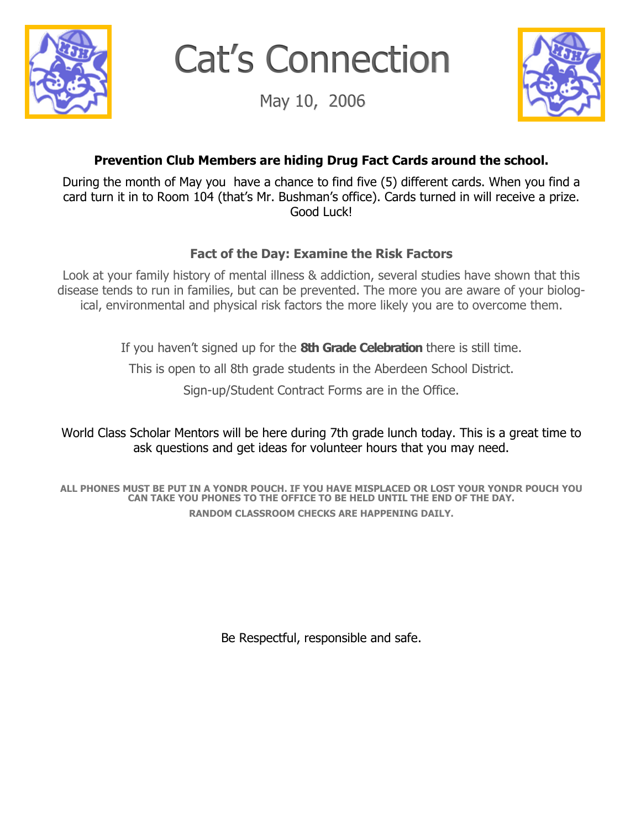

Cat's Connection

May 10, 2006



## **Prevention Club Members are hiding Drug Fact Cards around the school.**

During the month of May you have a chance to find five (5) different cards. When you find a card turn it in to Room 104 (that's Mr. Bushman's office). Cards turned in will receive a prize. Good Luck!

### **Fact of the Day: Examine the Risk Factors**

Look at your family history of mental illness & addiction, several studies have shown that this disease tends to run in families, but can be prevented. The more you are aware of your biological, environmental and physical risk factors the more likely you are to overcome them.

If you haven't signed up for the **8th Grade Celebration** there is still time.

This is open to all 8th grade students in the Aberdeen School District.

Sign-up/Student Contract Forms are in the Office.

World Class Scholar Mentors will be here during 7th grade lunch today. This is a great time to ask questions and get ideas for volunteer hours that you may need.

**ALL PHONES MUST BE PUT IN A YONDR POUCH. IF YOU HAVE MISPLACED OR LOST YOUR YONDR POUCH YOU CAN TAKE YOU PHONES TO THE OFFICE TO BE HELD UNTIL THE END OF THE DAY. RANDOM CLASSROOM CHECKS ARE HAPPENING DAILY.**

Be Respectful, responsible and safe.